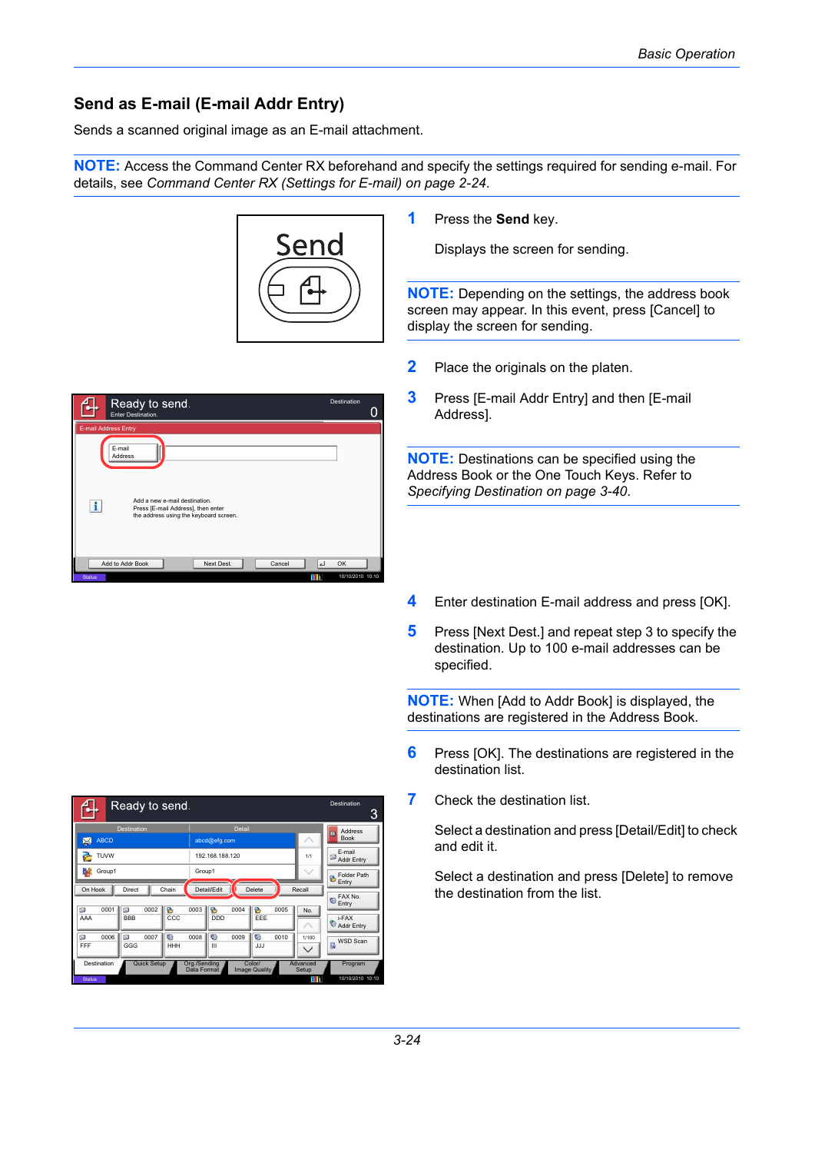## **Send as E-mail (E-mail Addr Entry)**

Sends a scanned original image as an E-mail attachment.

**NOTE:** Access the Command Center RX beforehand and specify the settings required for sending e-mail. For details, see *[Command Center RX \(Settings for E-mail\) on page 2-24](#page--1-0)*.



Destination

 $\Omega$ 

**1** Press the **Send** key.

Displays the screen for sending.

**NOTE:** Depending on the settings, the address book screen may appear. In this event, press [Cancel] to display the screen for sending.

- **2** Place the originals on the platen.
- **3** Press [E-mail Addr Entry] and then [E-mail Address].

**NOTE:** Destinations can be specified using the Address Book or the One Touch Keys. Refer to *[Specifying Destination on page 3-40](#page--1-1)*.

- **4** Enter destination E-mail address and press [OK].
- **5** Press [Next Dest.] and repeat step 3 to specify the destination. Up to 100 e-mail addresses can be specified.

**NOTE:** When [Add to Addr Book] is displayed, the destinations are registered in the Address Book.

- **6** Press [OK]. The destinations are registered in the destination list.
- **7** Check the destination list.

Select a destination and press [Detail/Edit] to check and edit it.

Select a destination and press [Delete] to remove the destination from the list.



E-mail Address Entry

Enter Destination.

Ready to send.

| μ,               | Ready to send.          |                       |                                                        |        |          |        |                                  | Destination<br>3                   |
|------------------|-------------------------|-----------------------|--------------------------------------------------------|--------|----------|--------|----------------------------------|------------------------------------|
| <b>ABCD</b><br>⊠ | <b>Destination</b>      |                       | abcd@efg.com                                           | Detail |          |        |                                  | <b>Address</b><br>m<br><b>Book</b> |
| TUVW             |                         |                       | 192.168.188.120                                        |        |          |        | 1/1                              | E-mail<br>⊠<br><b>Addr Entry</b>   |
| h.<br>Group1     |                         | Group1                |                                                        |        |          |        | Folder Path<br>B<br>Entry        |                                    |
| On Hook          | Chain                   | Detail/Edit<br>Delete |                                                        |        |          | Recall | FAX No.<br>$\mathbb{Q}$<br>Entry |                                    |
| ⊠<br>0001<br>AAA | 図<br>0002<br><b>BBB</b> | a<br>0003<br>CCC      | B<br><b>DDD</b>                                        | 0004   | a<br>EEE | 0005   | No.                              | i-FAX<br>Addr Entry                |
| ⊠<br>0006<br>FFF | 図<br>0007<br>GGG        | G<br>0008<br>HHH      | G<br>Ш                                                 | 0009   | G<br>JJJ | 0010   | 1/100<br>$\checkmark$            | WSD Scan<br>曻                      |
| Destination      | <b>Quick Setup</b>      |                       | Org./Sending<br>Color/<br>Data Format<br>Image Quality |        |          |        | Advanced<br>Setup                | Program                            |
| <b>Status</b>    |                         |                       |                                                        |        |          |        | m                                | 10/10/2010 10:10                   |